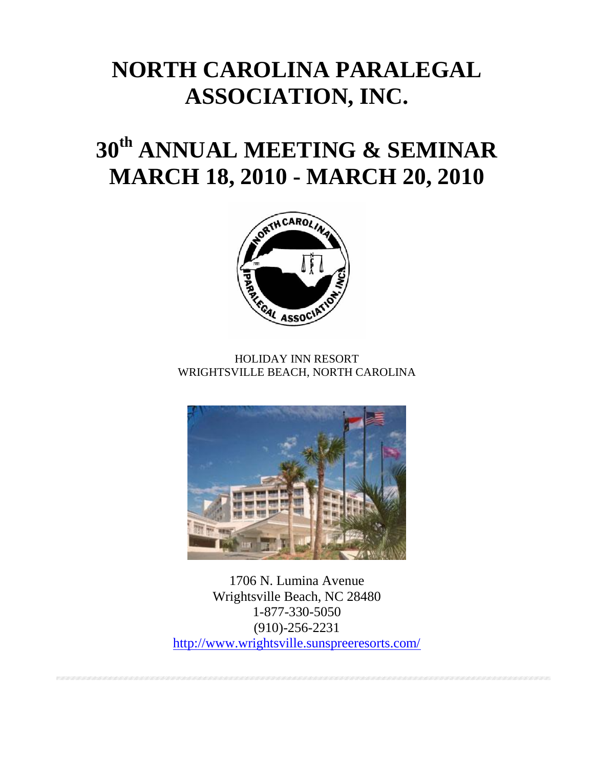# **NORTH CAROLINA PARALEGAL ASSOCIATION, INC.**

# **30th ANNUAL MEETING & SEMINAR MARCH 18, 2010 - MARCH 20, 2010**



HOLIDAY INN RESORT WRIGHTSVILLE BEACH, NORTH CAROLINA



1706 N. Lumina Avenue Wrightsville Beach, NC 28480 1-877-330-5050 (910)-256-2231 <http://www.wrightsville.sunspreeresorts.com/>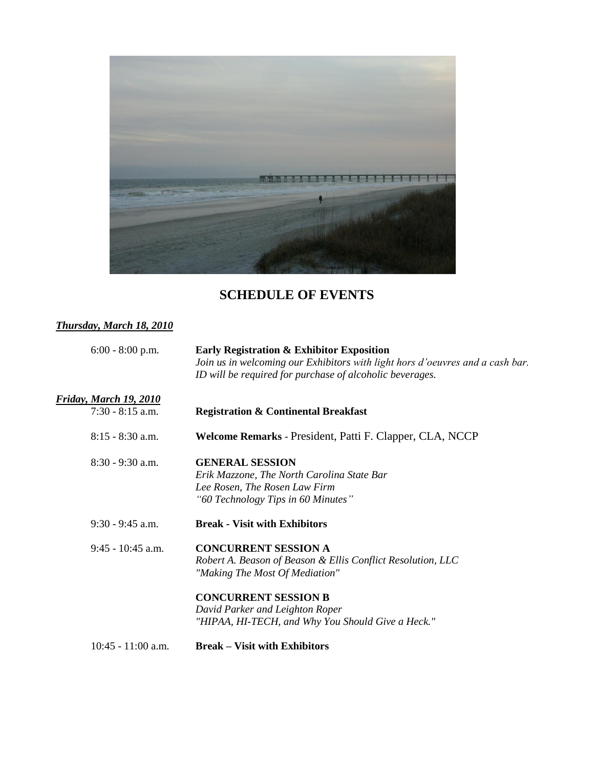

## **SCHEDULE OF EVENTS**

### *Thursday, March 18, 2010*

| $6:00 - 8:00$ p.m.     | Early Registration & Exhibitor Exposition<br>Join us in welcoming our Exhibitors with light hors d'oeuvres and a cash bar.<br>ID will be required for purchase of alcoholic beverages. |  |
|------------------------|----------------------------------------------------------------------------------------------------------------------------------------------------------------------------------------|--|
| Friday, March 19, 2010 |                                                                                                                                                                                        |  |
| $7:30 - 8:15$ a.m.     | <b>Registration &amp; Continental Breakfast</b>                                                                                                                                        |  |
| $8:15 - 8:30$ a.m.     | Welcome Remarks - President, Patti F. Clapper, CLA, NCCP                                                                                                                               |  |
| $8:30 - 9:30$ a.m.     | <b>GENERAL SESSION</b>                                                                                                                                                                 |  |
|                        | Erik Mazzone, The North Carolina State Bar                                                                                                                                             |  |
|                        | Lee Rosen, The Rosen Law Firm                                                                                                                                                          |  |
|                        | "60 Technology Tips in 60 Minutes"                                                                                                                                                     |  |
| $9:30 - 9:45$ a.m.     | <b>Break - Visit with Exhibitors</b>                                                                                                                                                   |  |
| $9:45 - 10:45$ a.m.    | <b>CONCURRENT SESSION A</b>                                                                                                                                                            |  |
|                        | Robert A. Beason of Beason & Ellis Conflict Resolution, LLC                                                                                                                            |  |
|                        | "Making The Most Of Mediation"                                                                                                                                                         |  |
|                        | <b>CONCURRENT SESSION B</b>                                                                                                                                                            |  |
|                        | David Parker and Leighton Roper                                                                                                                                                        |  |
|                        | "HIPAA, HI-TECH, and Why You Should Give a Heck."                                                                                                                                      |  |
| $10:45 - 11:00$ a.m.   | <b>Break – Visit with Exhibitors</b>                                                                                                                                                   |  |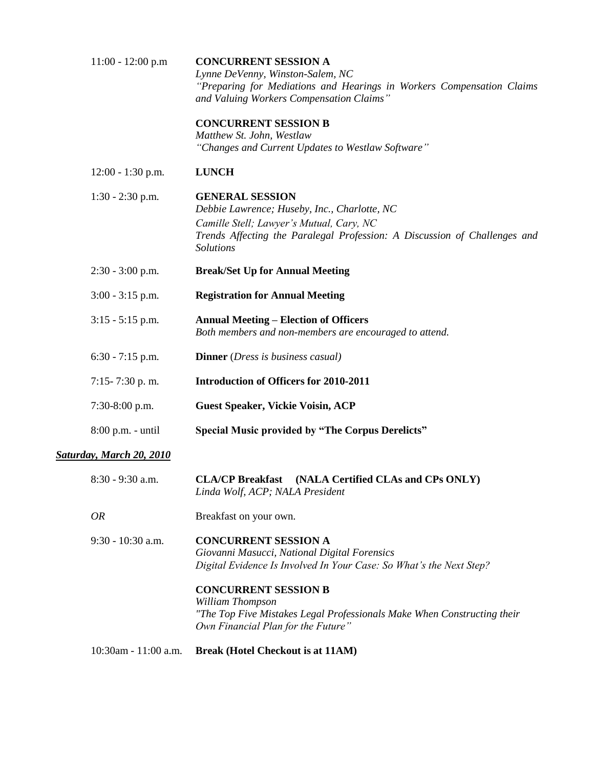| $11:00 - 12:00 p.m$             | <b>CONCURRENT SESSION A</b><br>Lynne DeVenny, Winston-Salem, NC<br>"Preparing for Mediations and Hearings in Workers Compensation Claims<br>and Valuing Workers Compensation Claims"                                |  |  |
|---------------------------------|---------------------------------------------------------------------------------------------------------------------------------------------------------------------------------------------------------------------|--|--|
|                                 | <b>CONCURRENT SESSION B</b><br>Matthew St. John, Westlaw<br>"Changes and Current Updates to Westlaw Software"                                                                                                       |  |  |
| $12:00 - 1:30$ p.m.             | <b>LUNCH</b>                                                                                                                                                                                                        |  |  |
| $1:30 - 2:30$ p.m.              | <b>GENERAL SESSION</b><br>Debbie Lawrence; Huseby, Inc., Charlotte, NC<br>Camille Stell; Lawyer's Mutual, Cary, NC<br>Trends Affecting the Paralegal Profession: A Discussion of Challenges and<br><b>Solutions</b> |  |  |
| $2:30 - 3:00$ p.m.              | <b>Break/Set Up for Annual Meeting</b>                                                                                                                                                                              |  |  |
| $3:00 - 3:15$ p.m.              | <b>Registration for Annual Meeting</b>                                                                                                                                                                              |  |  |
| $3:15 - 5:15$ p.m.              | <b>Annual Meeting – Election of Officers</b><br>Both members and non-members are encouraged to attend.                                                                                                              |  |  |
| $6:30 - 7:15$ p.m.              | <b>Dinner</b> ( <i>Dress is business casual</i> )                                                                                                                                                                   |  |  |
| $7:15 - 7:30$ p.m.              | <b>Introduction of Officers for 2010-2011</b>                                                                                                                                                                       |  |  |
| $7:30-8:00$ p.m.                | <b>Guest Speaker, Vickie Voisin, ACP</b>                                                                                                                                                                            |  |  |
| $8:00$ p.m. - until             | <b>Special Music provided by "The Corpus Derelicts"</b>                                                                                                                                                             |  |  |
| <b>Saturday, March 20, 2010</b> |                                                                                                                                                                                                                     |  |  |
| 8:30 - 9:30 a.m.                | <b>CLA/CP Breakfast</b><br>(NALA Certified CLAs and CPs ONLY)<br>Linda Wolf, ACP; NALA President                                                                                                                    |  |  |
| <b>OR</b>                       | Breakfast on your own.                                                                                                                                                                                              |  |  |
| 9:30 - 10:30 a.m.               | <b>CONCURRENT SESSION A</b><br>Giovanni Masucci, National Digital Forensics<br>Digital Evidence Is Involved In Your Case: So What's the Next Step?                                                                  |  |  |
|                                 | <b>CONCURRENT SESSION B</b><br>William Thompson<br>"The Top Five Mistakes Legal Professionals Make When Constructing their<br>Own Financial Plan for the Future"                                                    |  |  |

10:30am - 11:00 a.m. **Break (Hotel Checkout is at 11AM)**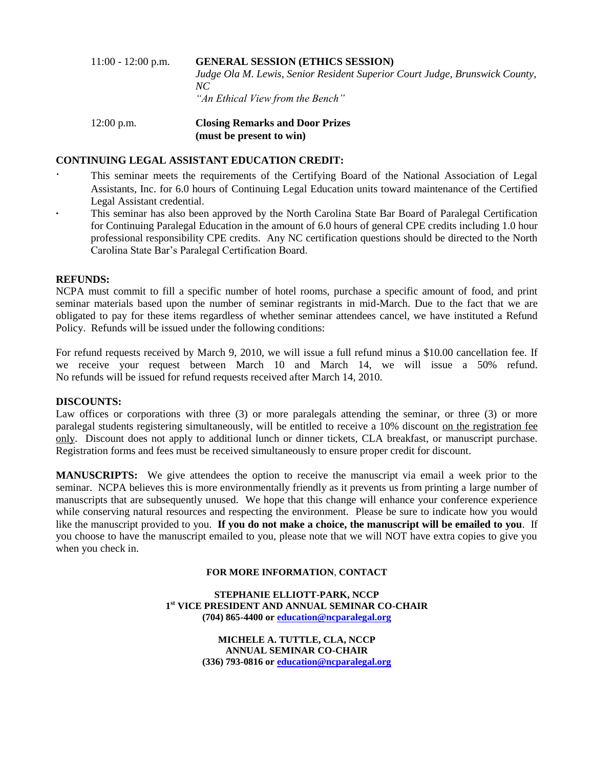### 11:00 - 12:00 p.m. **GENERAL SESSION (ETHICS SESSION)** *Judge Ola M. Lewis, Senior Resident Superior Court Judge, Brunswick County, NC "An Ethical View from the Bench"*

#### 12:00 p.m. **Closing Remarks and Door Prizes (must be present to win)**

#### **CONTINUING LEGAL ASSISTANT EDUCATION CREDIT:**

- This seminar meets the requirements of the Certifying Board of the National Association of Legal Assistants, Inc. for 6.0 hours of Continuing Legal Education units toward maintenance of the Certified Legal Assistant credential.
- **∙** This seminar has also been approved by the North Carolina State Bar Board of Paralegal Certification for Continuing Paralegal Education in the amount of 6.0 hours of general CPE credits including 1.0 hour professional responsibility CPE credits. Any NC certification questions should be directed to the North Carolina State Bar's Paralegal Certification Board.

#### **REFUNDS:**

NCPA must commit to fill a specific number of hotel rooms, purchase a specific amount of food, and print seminar materials based upon the number of seminar registrants in mid-March. Due to the fact that we are obligated to pay for these items regardless of whether seminar attendees cancel, we have instituted a Refund Policy. Refunds will be issued under the following conditions:

For refund requests received by March 9, 2010, we will issue a full refund minus a \$10.00 cancellation fee. If we receive your request between March 10 and March 14, we will issue a 50% refund. No refunds will be issued for refund requests received after March 14, 2010.

#### **DISCOUNTS:**

Law offices or corporations with three (3) or more paralegals attending the seminar, or three (3) or more paralegal students registering simultaneously, will be entitled to receive a 10% discount on the registration fee only. Discount does not apply to additional lunch or dinner tickets, CLA breakfast, or manuscript purchase. Registration forms and fees must be received simultaneously to ensure proper credit for discount.

**MANUSCRIPTS:** We give attendees the option to receive the manuscript via email a week prior to the seminar. NCPA believes this is more environmentally friendly as it prevents us from printing a large number of manuscripts that are subsequently unused. We hope that this change will enhance your conference experience while conserving natural resources and respecting the environment. Please be sure to indicate how you would like the manuscript provided to you. **If you do not make a choice, the manuscript will be emailed to you**. If you choose to have the manuscript emailed to you, please note that we will NOT have extra copies to give you when you check in.

#### **FOR MORE INFORMATION**, **CONTACT**

**STEPHANIE ELLIOTT-PARK, NCCP 1 st VICE PRESIDENT AND ANNUAL SEMINAR CO-CHAIR (704) 865-4400 o[r education@ncparalegal.org](mailto:education@ncparalegal.org)**

> **MICHELE A. TUTTLE, CLA, NCCP ANNUAL SEMINAR CO-CHAIR (336) 793-0816 o[r education@ncparalegal.org](mailto:education@ncparalegal.org)**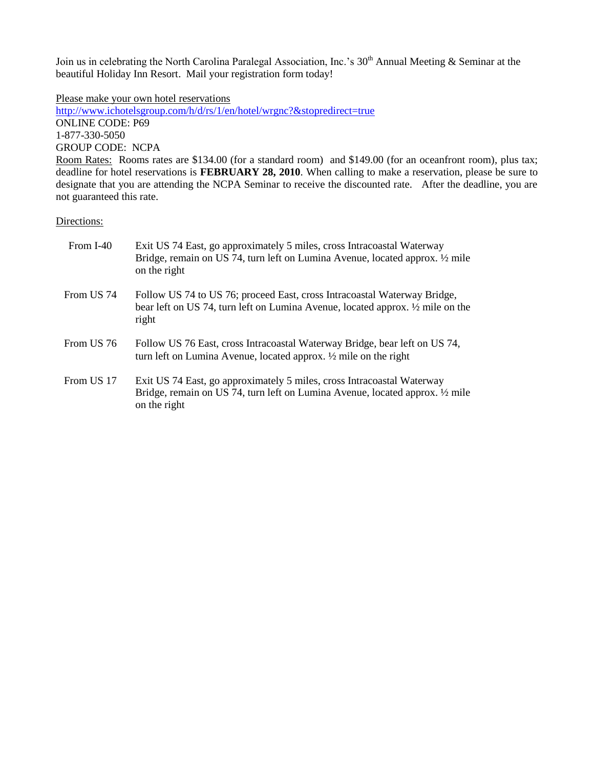Join us in celebrating the North Carolina Paralegal Association, Inc.'s 30<sup>th</sup> Annual Meeting & Seminar at the beautiful Holiday Inn Resort. Mail your registration form today!

Please make your own hotel reservations

<http://www.ichotelsgroup.com/h/d/rs/1/en/hotel/wrgnc?&stopredirect=true> ONLINE CODE: P69 1-877-330-5050 GROUP CODE: NCPA Room Rates: Rooms rates are \$134.00 (for a standard room) and \$149.00 (for an oceanfront room), plus tax;

deadline for hotel reservations is **FEBRUARY 28, 2010**. When calling to make a reservation, please be sure to designate that you are attending the NCPA Seminar to receive the discounted rate. After the deadline, you are not guaranteed this rate.

Directions:

| From I-40  | Exit US 74 East, go approximately 5 miles, cross Intracoastal Waterway<br>Bridge, remain on US 74, turn left on Lumina Avenue, located approx. 1/2 mile<br>on the right |
|------------|-------------------------------------------------------------------------------------------------------------------------------------------------------------------------|
| From US 74 | Follow US 74 to US 76; proceed East, cross Intracoastal Waterway Bridge,<br>bear left on US 74, turn left on Lumina Avenue, located approx. 1/2 mile on the<br>right    |
| From US 76 | Follow US 76 East, cross Intracoastal Waterway Bridge, bear left on US 74,<br>turn left on Lumina Avenue, located approx. 1/2 mile on the right                         |
| From US 17 | Exit US 74 East, go approximately 5 miles, cross Intracoastal Waterway<br>Bridge, remain on US 74, turn left on Lumina Avenue, located approx. 1/2 mile<br>on the right |